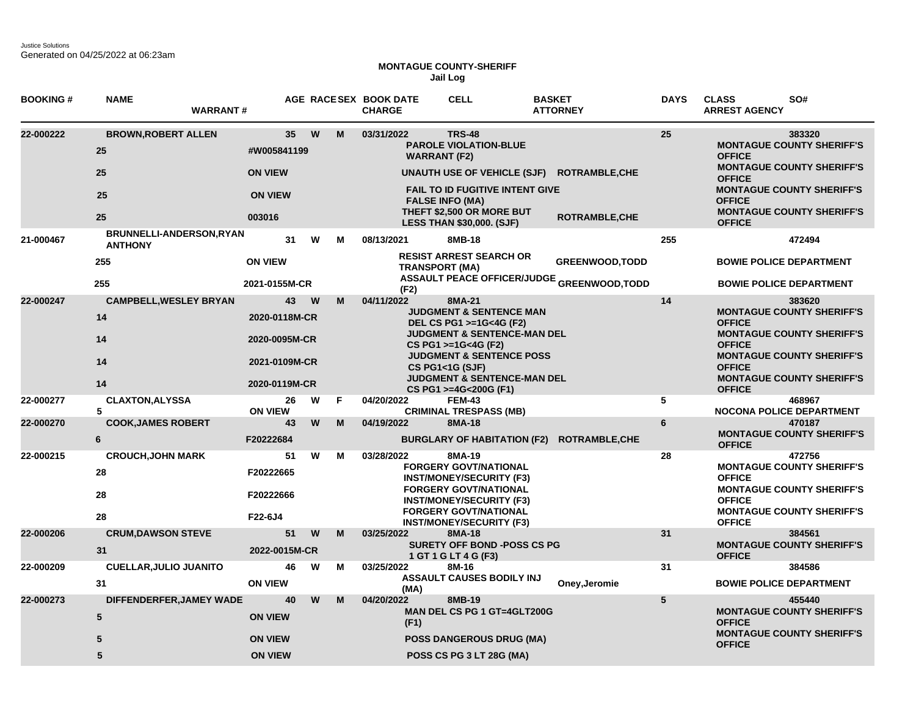Justice Solutions Generated on 04/25/2022 at 06:23am

## **MONTAGUE COUNTY-SHERIFF Jail Log**

| <b>BOOKING#</b> | <b>NAME</b><br><b>WARRANT#</b>                    |                                |          |        | AGE RACESEX BOOK DATE<br><b>CHARGE</b>                                                                                             | <b>CELL</b>                                                                                          | <b>BASKET</b><br><b>ATTORNEY</b>                  | <b>DAYS</b>     | <b>CLASS</b><br>SO#<br><b>ARREST AGENCY</b>                                           |
|-----------------|---------------------------------------------------|--------------------------------|----------|--------|------------------------------------------------------------------------------------------------------------------------------------|------------------------------------------------------------------------------------------------------|---------------------------------------------------|-----------------|---------------------------------------------------------------------------------------|
| 22-000222       | <b>BROWN, ROBERT ALLEN</b><br>25                  | 35 <sub>5</sub><br>#W005841199 | W<br>M   |        | 03/31/2022                                                                                                                         | <b>TRS-48</b><br><b>PAROLE VIOLATION-BLUE</b><br><b>WARRANT (F2)</b>                                 |                                                   | 25              | 383320<br><b>MONTAGUE COUNTY SHERIFF'S</b><br><b>OFFICE</b>                           |
|                 | 25                                                | <b>ON VIEW</b>                 |          |        |                                                                                                                                    | <b>UNAUTH USE OF VEHICLE (SJF)</b>                                                                   | <b>ROTRAMBLE, CHE</b>                             |                 | <b>MONTAGUE COUNTY SHERIFF'S</b><br><b>OFFICE</b>                                     |
|                 | 25                                                | <b>ON VIEW</b>                 |          |        |                                                                                                                                    | <b>FAIL TO ID FUGITIVE INTENT GIVE</b><br><b>FALSE INFO (MA)</b><br><b>THEFT \$2,500 OR MORE BUT</b> |                                                   |                 | <b>MONTAGUE COUNTY SHERIFF'S</b><br><b>OFFICE</b><br><b>MONTAGUE COUNTY SHERIFF'S</b> |
|                 | 25                                                | 003016                         |          |        |                                                                                                                                    | <b>LESS THAN \$30,000. (SJF)</b>                                                                     | <b>ROTRAMBLE, CHE</b>                             |                 | <b>OFFICE</b>                                                                         |
| 21-000467       | <b>BRUNNELLI-ANDERSON, RYAN</b><br><b>ANTHONY</b> | 31                             | W        | м      | 08/13/2021                                                                                                                         | 8MB-18                                                                                               |                                                   | 255             | 472494                                                                                |
|                 | 255                                               | <b>ON VIEW</b>                 |          |        |                                                                                                                                    | <b>RESIST ARREST SEARCH OR</b><br><b>TRANSPORT (MA)</b>                                              | <b>GREENWOOD, TODD</b>                            |                 | <b>BOWIE POLICE DEPARTMENT</b>                                                        |
|                 | 255                                               | 2021-0155M-CR                  |          |        | (F2)                                                                                                                               |                                                                                                      | <b>ASSAULT PEACE OFFICER/JUDGE GREENWOOD,TODD</b> |                 | <b>BOWIE POLICE DEPARTMENT</b>                                                        |
| 22-000247       | <b>CAMPBELL, WESLEY BRYAN</b>                     | 43                             | <b>W</b> | M      | 04/11/2022                                                                                                                         | 8MA-21                                                                                               |                                                   | 14              | 383620                                                                                |
|                 | 14                                                | 2020-0118M-CR                  |          |        | <b>JUDGMENT &amp; SENTENCE MAN</b><br>DEL CS PG1 >=1G<4G (F2)                                                                      |                                                                                                      |                                                   |                 | <b>MONTAGUE COUNTY SHERIFF'S</b><br><b>OFFICE</b>                                     |
|                 | 14                                                | 2020-0095M-CR                  |          |        |                                                                                                                                    | <b>JUDGMENT &amp; SENTENCE-MAN DEL</b><br>CS PG1 >=1G<4G (F2)                                        |                                                   |                 | <b>MONTAGUE COUNTY SHERIFF'S</b><br><b>OFFICE</b>                                     |
|                 | 14                                                | 2021-0109M-CR                  |          |        |                                                                                                                                    | <b>JUDGMENT &amp; SENTENCE POSS</b><br><b>CS PG1&lt;1G (SJF)</b>                                     |                                                   |                 | <b>MONTAGUE COUNTY SHERIFF'S</b><br><b>OFFICE</b>                                     |
|                 | 14                                                | 2020-0119M-CR                  |          |        |                                                                                                                                    | JUDGMENT & SENTENCE-MAN DEL<br>CS PG1 >=4G<200G (F1)                                                 |                                                   |                 | <b>MONTAGUE COUNTY SHERIFF'S</b><br><b>OFFICE</b>                                     |
| 22-000277       | <b>CLAXTON, ALYSSA</b><br>5                       | 26<br><b>ON VIEW</b>           | W        | F      | 04/20/2022                                                                                                                         | <b>FEM-43</b><br><b>CRIMINAL TRESPASS (MB)</b>                                                       |                                                   | 5               | 468967<br>NOCONA POLICE DEPARTMENT                                                    |
| 22-000270       | <b>COOK, JAMES ROBERT</b>                         | 43                             | W        | M      | 04/19/2022                                                                                                                         | 8MA-18                                                                                               |                                                   | 6               | 470187                                                                                |
|                 | 6                                                 | F20222684                      |          |        |                                                                                                                                    |                                                                                                      | BURGLARY OF HABITATION (F2) ROTRAMBLE, CHE        |                 | <b>MONTAGUE COUNTY SHERIFF'S</b><br><b>OFFICE</b>                                     |
| 22-000215       | <b>CROUCH, JOHN MARK</b>                          | 51                             |          | W<br>м | 03/28/2022                                                                                                                         | 8MA-19                                                                                               |                                                   | 28              | 472756<br><b>MONTAGUE COUNTY SHERIFF'S</b>                                            |
|                 | 28                                                | F20222665                      |          |        | <b>FORGERY GOVT/NATIONAL</b><br><b>INST/MONEY/SECURITY (F3)</b><br><b>FORGERY GOVT/NATIONAL</b><br><b>INST/MONEY/SECURITY (F3)</b> |                                                                                                      | <b>OFFICE</b>                                     |                 |                                                                                       |
|                 | 28                                                | F20222666                      |          |        |                                                                                                                                    |                                                                                                      | <b>MONTAGUE COUNTY SHERIFF'S</b><br><b>OFFICE</b> |                 |                                                                                       |
|                 | 28                                                | F22-6J4                        |          |        |                                                                                                                                    | <b>FORGERY GOVT/NATIONAL</b><br><b>INST/MONEY/SECURITY (F3)</b>                                      |                                                   |                 | <b>MONTAGUE COUNTY SHERIFF'S</b><br><b>OFFICE</b>                                     |
| 22-000206       | <b>CRUM, DAWSON STEVE</b>                         | 51                             | W        | M      | 03/25/2022                                                                                                                         | 8MA-18                                                                                               |                                                   | 31              | 384561                                                                                |
|                 | 31                                                | 2022-0015M-CR                  |          |        |                                                                                                                                    | <b>SURETY OFF BOND -POSS CS PG</b><br>1 GT 1 G LT 4 G (F3)                                           |                                                   |                 | <b>MONTAGUE COUNTY SHERIFF'S</b><br><b>OFFICE</b>                                     |
| 22-000209       | <b>CUELLAR, JULIO JUANITO</b>                     | 46                             | W        | M      | 03/25/2022                                                                                                                         | 8M-16                                                                                                |                                                   | 31              | 384586                                                                                |
|                 | 31                                                | <b>ON VIEW</b>                 |          |        | (MA)                                                                                                                               | <b>ASSAULT CAUSES BODILY INJ</b>                                                                     | Oney, Jeromie                                     |                 | <b>BOWIE POLICE DEPARTMENT</b>                                                        |
| 22-000273       | DIFFENDERFER, JAMEY WADE                          | 40                             |          | W<br>M | 04/20/2022                                                                                                                         | 8MB-19<br>MAN DEL CS PG 1 GT=4GLT200G                                                                |                                                   | $5\phantom{.0}$ | 455440<br><b>MONTAGUE COUNTY SHERIFF'S</b>                                            |
|                 | $5\phantom{1}$                                    | <b>ON VIEW</b>                 |          |        | (F1)                                                                                                                               |                                                                                                      |                                                   |                 | <b>OFFICE</b><br><b>MONTAGUE COUNTY SHERIFF'S</b>                                     |
|                 | 5                                                 | <b>ON VIEW</b>                 |          |        |                                                                                                                                    | <b>POSS DANGEROUS DRUG (MA)</b>                                                                      |                                                   |                 | <b>OFFICE</b>                                                                         |
|                 | 5                                                 | <b>ON VIEW</b>                 |          |        |                                                                                                                                    | POSS CS PG 3 LT 28G (MA)                                                                             |                                                   |                 |                                                                                       |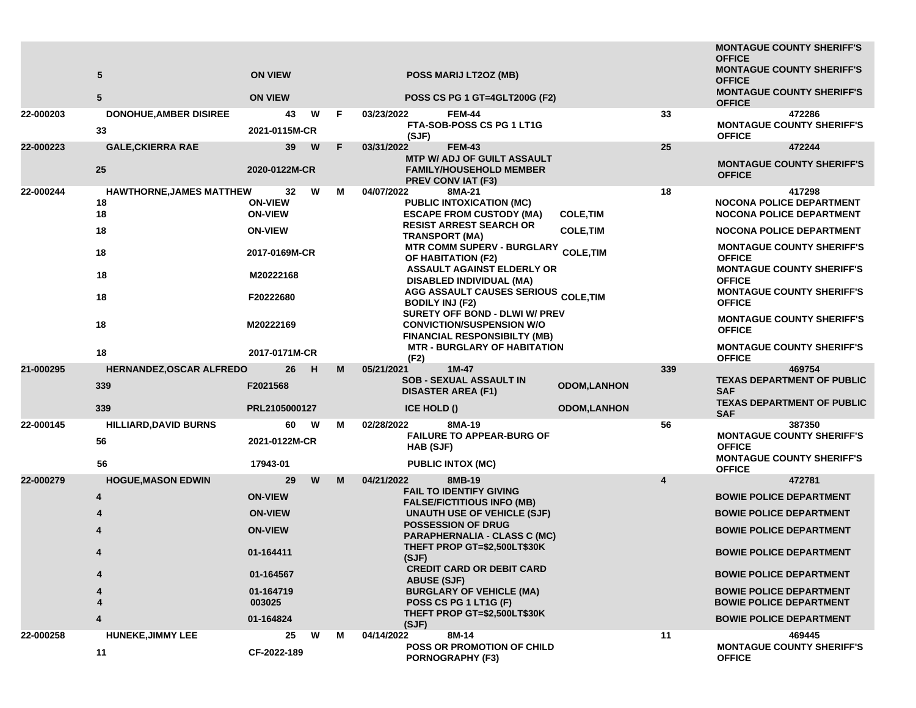|                        | 5<br>5                                                                                                      | <b>ON VIEW</b><br><b>ON VIEW</b>                                                                                                        |                    |        |                          | POSS MARIJ LT2OZ (MB)<br>POSS CS PG 1 GT=4GLT200G (F2)                                                                                                                                                                                                                                                                                                                                                                                                                                                                                         |                                                                                |           | <b>MONTAGUE COUNTY SHERIFF'S</b><br><b>OFFICE</b><br><b>MONTAGUE COUNTY SHERIFF'S</b><br><b>OFFICE</b><br><b>MONTAGUE COUNTY SHERIFF'S</b><br><b>OFFICE</b>                                                                                                                                                                                                                                                                             |
|------------------------|-------------------------------------------------------------------------------------------------------------|-----------------------------------------------------------------------------------------------------------------------------------------|--------------------|--------|--------------------------|------------------------------------------------------------------------------------------------------------------------------------------------------------------------------------------------------------------------------------------------------------------------------------------------------------------------------------------------------------------------------------------------------------------------------------------------------------------------------------------------------------------------------------------------|--------------------------------------------------------------------------------|-----------|-----------------------------------------------------------------------------------------------------------------------------------------------------------------------------------------------------------------------------------------------------------------------------------------------------------------------------------------------------------------------------------------------------------------------------------------|
| 22-000203              | <b>DONOHUE, AMBER DISIREE</b><br>33                                                                         | 2021-0115M-CR                                                                                                                           | W<br>43            | F      | 03/23/2022               | <b>FEM-44</b><br><b>FTA-SOB-POSS CS PG 1 LT1G</b><br>(SJF)                                                                                                                                                                                                                                                                                                                                                                                                                                                                                     |                                                                                | 33        | 472286<br><b>MONTAGUE COUNTY SHERIFF'S</b><br><b>OFFICE</b>                                                                                                                                                                                                                                                                                                                                                                             |
| 22-000223              | <b>GALE, CKIERRA RAE</b><br>25                                                                              | 2020-0122M-CR                                                                                                                           | 39<br>W            | F      | 03/31/2022               | <b>FEM-43</b><br><b>MTP W/ ADJ OF GUILT ASSAULT</b><br><b>FAMILY/HOUSEHOLD MEMBER</b><br><b>PREV CONVIAT (F3)</b>                                                                                                                                                                                                                                                                                                                                                                                                                              |                                                                                | 25        | 472244<br><b>MONTAGUE COUNTY SHERIFF'S</b><br><b>OFFICE</b>                                                                                                                                                                                                                                                                                                                                                                             |
| 22-000244<br>21-000295 | HAWTHORNE, JAMES MATTHEW<br>18<br>18<br>18<br>18<br>18<br>18<br>18<br>18<br>HERNANDEZ, OSCAR ALFREDO<br>339 | <b>ON-VIEW</b><br><b>ON-VIEW</b><br><b>ON-VIEW</b><br>2017-0169M-CR<br>M20222168<br>F20222680<br>M20222169<br>2017-0171M-CR<br>F2021568 | 32<br>W<br>26<br>H | м<br>м | 04/07/2022<br>05/21/2021 | 8MA-21<br><b>PUBLIC INTOXICATION (MC)</b><br><b>ESCAPE FROM CUSTODY (MA)</b><br><b>RESIST ARREST SEARCH OR</b><br><b>TRANSPORT (MA)</b><br><b>MTR COMM SUPERV - BURGLARY</b><br>OF HABITATION (F2)<br><b>ASSAULT AGAINST ELDERLY OR</b><br>DISABLED INDIVIDUAL (MA)<br>AGG ASSAULT CAUSES SERIOUS COLE, TIM<br><b>BODILY INJ (F2)</b><br>SURETY OFF BOND - DLWI W/ PREV<br><b>CONVICTION/SUSPENSION W/O</b><br><b>FINANCIAL RESPONSIBILTY (MB)</b><br><b>MTR - BURGLARY OF HABITATION</b><br>(F2)<br>$1M-47$<br><b>SOB - SEXUAL ASSAULT IN</b> | <b>COLE, TIM</b><br><b>COLE, TIM</b><br><b>COLE, TIM</b><br><b>ODOM,LANHON</b> | 18<br>339 | 417298<br><b>NOCONA POLICE DEPARTMENT</b><br><b>NOCONA POLICE DEPARTMENT</b><br><b>NOCONA POLICE DEPARTMENT</b><br><b>MONTAGUE COUNTY SHERIFF'S</b><br><b>OFFICE</b><br><b>MONTAGUE COUNTY SHERIFF'S</b><br><b>OFFICE</b><br><b>MONTAGUE COUNTY SHERIFF'S</b><br><b>OFFICE</b><br><b>MONTAGUE COUNTY SHERIFF'S</b><br><b>OFFICE</b><br><b>MONTAGUE COUNTY SHERIFF'S</b><br><b>OFFICE</b><br>469754<br><b>TEXAS DEPARTMENT OF PUBLIC</b> |
|                        | 339                                                                                                         | PRL2105000127                                                                                                                           |                    |        |                          | <b>DISASTER AREA (F1)</b><br>ICE HOLD ()                                                                                                                                                                                                                                                                                                                                                                                                                                                                                                       | <b>ODOM,LANHON</b>                                                             |           | <b>SAF</b><br><b>TEXAS DEPARTMENT OF PUBLIC</b><br><b>SAF</b>                                                                                                                                                                                                                                                                                                                                                                           |
| 22-000145              | <b>HILLIARD, DAVID BURNS</b><br>56<br>56                                                                    | 2021-0122M-CR<br>17943-01                                                                                                               | 60<br>w            | м      | 02/28/2022               | 8MA-19<br><b>FAILURE TO APPEAR-BURG OF</b><br>HAB (SJF)<br><b>PUBLIC INTOX (MC)</b>                                                                                                                                                                                                                                                                                                                                                                                                                                                            |                                                                                | 56        | 387350<br><b>MONTAGUE COUNTY SHERIFF'S</b><br><b>OFFICE</b><br><b>MONTAGUE COUNTY SHERIFF'S</b><br><b>OFFICE</b>                                                                                                                                                                                                                                                                                                                        |
| 22-000279              | <b>HOGUE, MASON EDWIN</b><br>4<br>4<br>4                                                                    | <b>ON-VIEW</b><br><b>ON-VIEW</b><br><b>ON-VIEW</b><br>01-164411<br>01-164567<br>01-164719<br>003025<br>01-164824                        | W<br>29            | М      | 04/21/2022               | 8MB-19<br><b>FAIL TO IDENTIFY GIVING</b><br><b>FALSE/FICTITIOUS INFO (MB)</b><br>UNAUTH USE OF VEHICLE (SJF)<br><b>POSSESSION OF DRUG</b><br><b>PARAPHERNALIA - CLASS C (MC)</b><br>THEFT PROP GT=\$2,500LT\$30K<br>(SJF)<br><b>CREDIT CARD OR DEBIT CARD</b><br><b>ABUSE (SJF)</b><br><b>BURGLARY OF VEHICLE (MA)</b><br>POSS CS PG 1 LT1G (F)<br>THEFT PROP GT=\$2,500LT\$30K<br>(SJF)                                                                                                                                                       |                                                                                | 4         | 472781<br><b>BOWIE POLICE DEPARTMENT</b><br><b>BOWIE POLICE DEPARTMENT</b><br><b>BOWIE POLICE DEPARTMENT</b><br><b>BOWIE POLICE DEPARTMENT</b><br><b>BOWIE POLICE DEPARTMENT</b><br><b>BOWIE POLICE DEPARTMENT</b><br><b>BOWIE POLICE DEPARTMENT</b><br><b>BOWIE POLICE DEPARTMENT</b>                                                                                                                                                  |
| 22-000258              | <b>HUNEKE, JIMMY LEE</b><br>11                                                                              | CF-2022-189                                                                                                                             | 25<br>W            | м      | 04/14/2022               | 8M-14<br><b>POSS OR PROMOTION OF CHILD</b><br><b>PORNOGRAPHY (F3)</b>                                                                                                                                                                                                                                                                                                                                                                                                                                                                          |                                                                                | 11        | 469445<br><b>MONTAGUE COUNTY SHERIFF'S</b><br><b>OFFICE</b>                                                                                                                                                                                                                                                                                                                                                                             |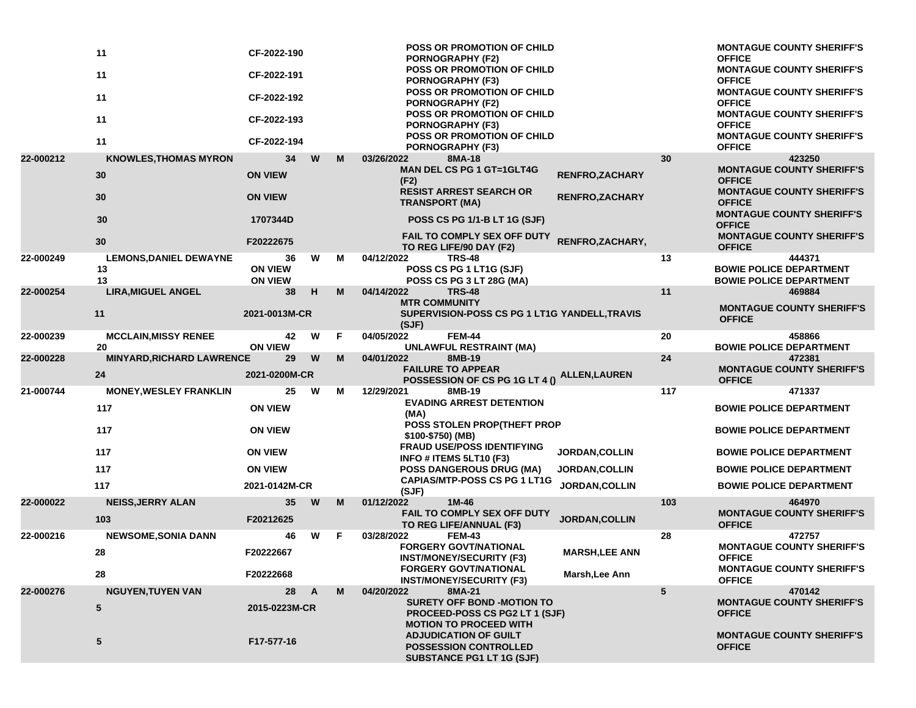|           | 11<br>11<br>11<br>11<br>11                | CF-2022-190<br>CF-2022-191<br>CF-2022-192<br>CF-2022-193<br>CF-2022-194 |   |    | <b>POSS OR PROMOTION OF CHILD</b><br><b>PORNOGRAPHY (F2)</b><br><b>POSS OR PROMOTION OF CHILD</b><br><b>PORNOGRAPHY (F3)</b><br>POSS OR PROMOTION OF CHILD<br><b>PORNOGRAPHY (F2)</b><br>POSS OR PROMOTION OF CHILD<br><b>PORNOGRAPHY (F3)</b><br>POSS OR PROMOTION OF CHILD<br>PORNOGRAPHY (F3) |                       |     | <b>MONTAGUE COUNTY SHERIFF'S</b><br><b>OFFICE</b><br><b>MONTAGUE COUNTY SHERIFF'S</b><br><b>OFFICE</b><br><b>MONTAGUE COUNTY SHERIFF'S</b><br><b>OFFICE</b><br><b>MONTAGUE COUNTY SHERIFF'S</b><br><b>OFFICE</b><br><b>MONTAGUE COUNTY SHERIFF'S</b><br><b>OFFICE</b> |
|-----------|-------------------------------------------|-------------------------------------------------------------------------|---|----|--------------------------------------------------------------------------------------------------------------------------------------------------------------------------------------------------------------------------------------------------------------------------------------------------|-----------------------|-----|-----------------------------------------------------------------------------------------------------------------------------------------------------------------------------------------------------------------------------------------------------------------------|
| 22-000212 | <b>KNOWLES, THOMAS MYRON</b>              | 34                                                                      | W | М  | 03/26/2022<br>8MA-18                                                                                                                                                                                                                                                                             |                       | 30  | 423250                                                                                                                                                                                                                                                                |
|           | 30                                        | <b>ON VIEW</b>                                                          |   |    | <b>MAN DEL CS PG 1 GT=1GLT4G</b><br>(F2)                                                                                                                                                                                                                                                         | <b>RENFRO,ZACHARY</b> |     | <b>MONTAGUE COUNTY SHERIFF'S</b><br><b>OFFICE</b>                                                                                                                                                                                                                     |
|           | 30                                        | <b>ON VIEW</b>                                                          |   |    | <b>RESIST ARREST SEARCH OR</b><br><b>TRANSPORT (MA)</b>                                                                                                                                                                                                                                          | <b>RENFRO,ZACHARY</b> |     | <b>MONTAGUE COUNTY SHERIFF'S</b><br><b>OFFICE</b><br><b>MONTAGUE COUNTY SHERIFF'S</b>                                                                                                                                                                                 |
|           | 30                                        | 1707344D                                                                |   |    | <b>POSS CS PG 1/1-B LT 1G (SJF)</b>                                                                                                                                                                                                                                                              |                       |     | <b>OFFICE</b>                                                                                                                                                                                                                                                         |
|           | 30                                        | F20222675                                                               |   |    | FAIL TO COMPLY SEX OFF DUTY<br>TO REG LIFE/90 DAY (F2)                                                                                                                                                                                                                                           | RENFRO, ZACHARY,      |     | <b>MONTAGUE COUNTY SHERIFF'S</b><br><b>OFFICE</b>                                                                                                                                                                                                                     |
| 22-000249 | <b>LEMONS, DANIEL DEWAYNE</b><br>13<br>13 | 36<br><b>ON VIEW</b><br><b>ON VIEW</b>                                  | W | М  | 04/12/2022<br><b>TRS-48</b><br>POSS CS PG 1 LT1G (SJF)<br>POSS CS PG 3 LT 28G (MA)                                                                                                                                                                                                               |                       | 13  | 444371<br><b>BOWIE POLICE DEPARTMENT</b><br><b>BOWIE POLICE DEPARTMENT</b>                                                                                                                                                                                            |
| 22-000254 | <b>LIRA, MIGUEL ANGEL</b>                 | 38                                                                      | н | M  | 04/14/2022<br><b>TRS-48</b>                                                                                                                                                                                                                                                                      |                       | 11  | 469884                                                                                                                                                                                                                                                                |
|           | 11                                        | 2021-0013M-CR                                                           |   |    | <b>MTR COMMUNITY</b><br>SUPERVISION-POSS CS PG 1 LT1G YANDELL, TRAVIS<br>(SJF)                                                                                                                                                                                                                   |                       |     | <b>MONTAGUE COUNTY SHERIFF'S</b><br><b>OFFICE</b>                                                                                                                                                                                                                     |
| 22-000239 | <b>MCCLAIN, MISSY RENEE</b><br>20         | 42<br><b>ON VIEW</b>                                                    | W | F. | 04/05/2022<br><b>FEM-44</b><br><b>UNLAWFUL RESTRAINT (MA)</b>                                                                                                                                                                                                                                    |                       | 20  | 458866<br><b>BOWIE POLICE DEPARTMENT</b>                                                                                                                                                                                                                              |
| 22-000228 | <b>MINYARD, RICHARD LAWRENCE</b>          | 29                                                                      | W | М  | 04/01/2022<br>8MB-19                                                                                                                                                                                                                                                                             |                       | 24  | 472381                                                                                                                                                                                                                                                                |
|           | 24                                        | 2021-0200M-CR                                                           |   |    | <b>FAILURE TO APPEAR</b><br>POSSESSION OF CS PG 1G LT 4 ()                                                                                                                                                                                                                                       | <b>ALLEN, LAUREN</b>  |     | <b>MONTAGUE COUNTY SHERIFF'S</b><br><b>OFFICE</b>                                                                                                                                                                                                                     |
| 21-000744 | <b>MONEY, WESLEY FRANKLIN</b>             | 25                                                                      | W | м  | 12/29/2021<br>8MB-19                                                                                                                                                                                                                                                                             |                       | 117 | 471337                                                                                                                                                                                                                                                                |
|           | 117                                       | <b>ON VIEW</b>                                                          |   |    | <b>EVADING ARREST DETENTION</b><br>(MA)                                                                                                                                                                                                                                                          |                       |     | <b>BOWIE POLICE DEPARTMENT</b>                                                                                                                                                                                                                                        |
|           | 117                                       | <b>ON VIEW</b>                                                          |   |    | POSS STOLEN PROP(THEFT PROP<br>\$100-\$750) (MB)                                                                                                                                                                                                                                                 |                       |     | <b>BOWIE POLICE DEPARTMENT</b>                                                                                                                                                                                                                                        |
|           | 117                                       | <b>ON VIEW</b>                                                          |   |    | <b>FRAUD USE/POSS IDENTIFYING</b><br>INFO # ITEMS 5LT10 (F3)                                                                                                                                                                                                                                     | <b>JORDAN, COLLIN</b> |     | <b>BOWIE POLICE DEPARTMENT</b>                                                                                                                                                                                                                                        |
|           | 117                                       | <b>ON VIEW</b>                                                          |   |    | <b>POSS DANGEROUS DRUG (MA)</b><br><b>CAPIAS/MTP-POSS CS PG 1 LT1G</b>                                                                                                                                                                                                                           | <b>JORDAN, COLLIN</b> |     | <b>BOWIE POLICE DEPARTMENT</b>                                                                                                                                                                                                                                        |
|           | 117                                       | 2021-0142M-CR                                                           |   |    | (SJF)                                                                                                                                                                                                                                                                                            | <b>JORDAN, COLLIN</b> |     | <b>BOWIE POLICE DEPARTMENT</b>                                                                                                                                                                                                                                        |
| 22-000022 | <b>NEISS, JERRY ALAN</b><br>103           | 35<br>F20212625                                                         | W | M  | 01/12/2022<br>1M-46<br><b>FAIL TO COMPLY SEX OFF DUTY</b><br>TO REG LIFE/ANNUAL (F3)                                                                                                                                                                                                             | <b>JORDAN, COLLIN</b> | 103 | 464970<br><b>MONTAGUE COUNTY SHERIFF'S</b><br><b>OFFICE</b>                                                                                                                                                                                                           |
| 22-000216 | <b>NEWSOME, SONIA DANN</b>                | 46                                                                      | W | F. | 03/28/2022<br><b>FEM-43</b>                                                                                                                                                                                                                                                                      |                       | 28  | 472757                                                                                                                                                                                                                                                                |
|           | 28                                        | F20222667                                                               |   |    | <b>FORGERY GOVT/NATIONAL</b><br><b>INST/MONEY/SECURITY (F3)</b>                                                                                                                                                                                                                                  | <b>MARSH, LEE ANN</b> |     | <b>MONTAGUE COUNTY SHERIFF'S</b><br><b>OFFICE</b>                                                                                                                                                                                                                     |
|           | 28                                        | F20222668                                                               |   |    | <b>FORGERY GOVT/NATIONAL</b><br><b>INST/MONEY/SECURITY (F3)</b>                                                                                                                                                                                                                                  | Marsh, Lee Ann        |     | <b>MONTAGUE COUNTY SHERIFF'S</b><br><b>OFFICE</b>                                                                                                                                                                                                                     |
| 22-000276 | <b>NGUYEN, TUYEN VAN</b>                  | 28                                                                      | A | M  | 8MA-21<br>04/20/2022                                                                                                                                                                                                                                                                             |                       | 5   | 470142                                                                                                                                                                                                                                                                |
|           | 5                                         | 2015-0223M-CR                                                           |   |    | <b>SURETY OFF BOND -MOTION TO</b><br><b>PROCEED-POSS CS PG2 LT 1 (SJF)</b><br><b>MOTION TO PROCEED WITH</b>                                                                                                                                                                                      |                       |     | <b>MONTAGUE COUNTY SHERIFF'S</b><br><b>OFFICE</b>                                                                                                                                                                                                                     |
|           | 5                                         | F17-577-16                                                              |   |    | <b>ADJUDICATION OF GUILT</b><br><b>POSSESSION CONTROLLED</b><br><b>SUBSTANCE PG1 LT 1G (SJF)</b>                                                                                                                                                                                                 |                       |     | <b>MONTAGUE COUNTY SHERIFF'S</b><br><b>OFFICE</b>                                                                                                                                                                                                                     |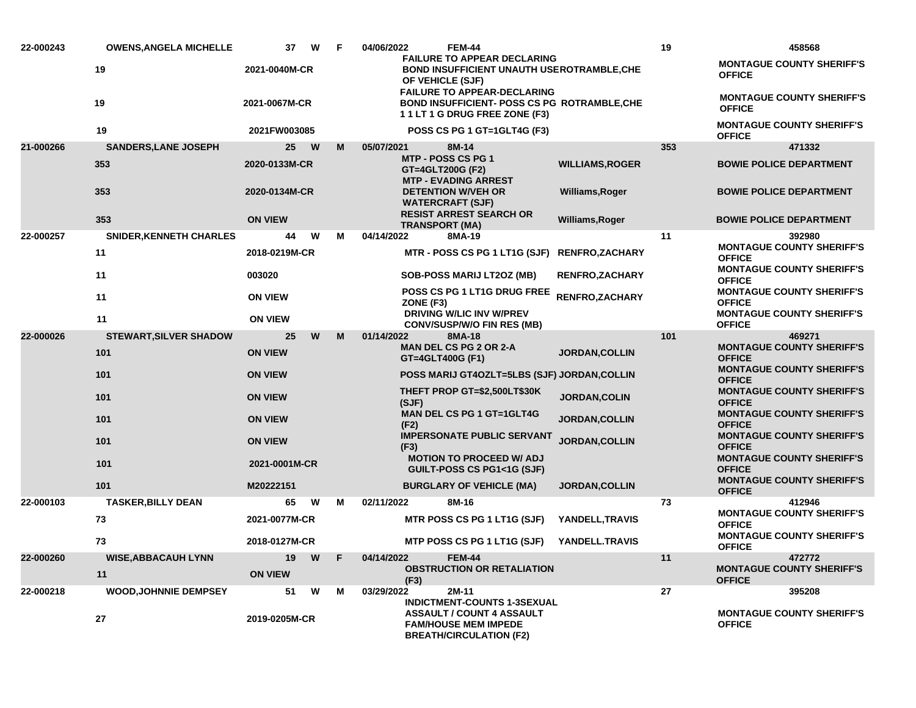| 22-000243 | <b>OWENS, ANGELA MICHELLE</b>  | 37<br>W        | F | 04/06/2022<br><b>FEM-44</b>                                                                                             |                        | 19  | 458568                                                                                |
|-----------|--------------------------------|----------------|---|-------------------------------------------------------------------------------------------------------------------------|------------------------|-----|---------------------------------------------------------------------------------------|
|           | 19                             | 2021-0040M-CR  |   | <b>FAILURE TO APPEAR DECLARING</b><br><b>BOND INSUFFICIENT UNAUTH USEROTRAMBLE, CHE</b><br>OF VEHICLE (SJF)             |                        |     | <b>MONTAGUE COUNTY SHERIFF'S</b><br><b>OFFICE</b>                                     |
|           | 19                             | 2021-0067M-CR  |   | <b>FAILURE TO APPEAR-DECLARING</b><br><b>BOND INSUFFICIENT- POSS CS PG ROTRAMBLE, CHE</b><br>11LT1G DRUG FREE ZONE (F3) |                        |     | <b>MONTAGUE COUNTY SHERIFF'S</b><br><b>OFFICE</b>                                     |
|           | 19                             | 2021FW003085   |   | POSS CS PG 1 GT=1GLT4G (F3)                                                                                             |                        |     | <b>MONTAGUE COUNTY SHERIFF'S</b><br><b>OFFICE</b>                                     |
| 21-000266 | <b>SANDERS, LANE JOSEPH</b>    | 25<br>W        | M | 05/07/2021<br>8M-14                                                                                                     |                        | 353 | 471332                                                                                |
|           | 353                            | 2020-0133M-CR  |   | <b>MTP - POSS CS PG 1</b><br>GT=4GLT200G (F2)<br><b>MTP - EVADING ARREST</b>                                            | <b>WILLIAMS, ROGER</b> |     | <b>BOWIE POLICE DEPARTMENT</b>                                                        |
|           | 353                            | 2020-0134M-CR  |   | <b>DETENTION W/VEH OR</b><br><b>WATERCRAFT (SJF)</b>                                                                    | Williams, Roger        |     | <b>BOWIE POLICE DEPARTMENT</b>                                                        |
|           | 353                            | <b>ON VIEW</b> |   | <b>RESIST ARREST SEARCH OR</b><br><b>TRANSPORT (MA)</b>                                                                 | Williams, Roger        |     | <b>BOWIE POLICE DEPARTMENT</b>                                                        |
| 22-000257 | <b>SNIDER, KENNETH CHARLES</b> | W<br>44        | M | 04/14/2022<br>8MA-19                                                                                                    |                        | 11  | 392980                                                                                |
|           | 11                             | 2018-0219M-CR  |   | MTR - POSS CS PG 1 LT1G (SJF) RENFRO,ZACHARY                                                                            |                        |     | <b>MONTAGUE COUNTY SHERIFF'S</b><br><b>OFFICE</b><br><b>MONTAGUE COUNTY SHERIFF'S</b> |
|           | 11                             | 003020         |   | <b>SOB-POSS MARIJ LT2OZ (MB)</b>                                                                                        | <b>RENFRO,ZACHARY</b>  |     | <b>OFFICE</b>                                                                         |
|           | 11                             | <b>ON VIEW</b> |   | <b>POSS CS PG 1 LT1G DRUG FREE</b><br>ZONE (F3)                                                                         | RENFRO, ZACHARY        |     | <b>MONTAGUE COUNTY SHERIFF'S</b><br><b>OFFICE</b>                                     |
|           | 11                             | <b>ON VIEW</b> |   | <b>DRIVING W/LIC INV W/PREV</b><br><b>CONV/SUSP/W/O FIN RES (MB)</b>                                                    |                        |     | <b>MONTAGUE COUNTY SHERIFF'S</b><br><b>OFFICE</b>                                     |
| 22-000026 | <b>STEWART, SILVER SHADOW</b>  | W<br>25        | м | 01/14/2022<br>8MA-18                                                                                                    |                        | 101 | 469271                                                                                |
|           | 101                            | <b>ON VIEW</b> |   | <b>MAN DEL CS PG 2 OR 2-A</b><br>GT=4GLT400G (F1)                                                                       | <b>JORDAN,COLLIN</b>   |     | <b>MONTAGUE COUNTY SHERIFF'S</b><br><b>OFFICE</b>                                     |
|           | 101                            | <b>ON VIEW</b> |   | POSS MARIJ GT4OZLT=5LBS (SJF) JORDAN, COLLIN                                                                            |                        |     | <b>MONTAGUE COUNTY SHERIFF'S</b><br><b>OFFICE</b>                                     |
|           | 101                            | <b>ON VIEW</b> |   | THEFT PROP GT=\$2,500LT\$30K<br>(SJF)                                                                                   | <b>JORDAN, COLIN</b>   |     | <b>MONTAGUE COUNTY SHERIFF'S</b><br><b>OFFICE</b>                                     |
|           | 101                            | <b>ON VIEW</b> |   | <b>MAN DEL CS PG 1 GT=1GLT4G</b><br>(F2)                                                                                | <b>JORDAN, COLLIN</b>  |     | <b>MONTAGUE COUNTY SHERIFF'S</b><br><b>OFFICE</b>                                     |
|           | 101                            | <b>ON VIEW</b> |   | <b>IMPERSONATE PUBLIC SERVANT</b><br>(F3)                                                                               | JORDAN, COLLIN         |     | <b>MONTAGUE COUNTY SHERIFF'S</b><br><b>OFFICE</b>                                     |
|           | 101                            | 2021-0001M-CR  |   | <b>MOTION TO PROCEED W/ ADJ</b><br><b>GUILT-POSS CS PG1&lt;1G (SJF)</b>                                                 |                        |     | <b>MONTAGUE COUNTY SHERIFF'S</b><br><b>OFFICE</b>                                     |
|           | 101                            | M20222151      |   | <b>BURGLARY OF VEHICLE (MA)</b>                                                                                         | <b>JORDAN, COLLIN</b>  |     | <b>MONTAGUE COUNTY SHERIFF'S</b><br><b>OFFICE</b>                                     |
| 22-000103 | <b>TASKER, BILLY DEAN</b>      | 65<br>W        | м | 02/11/2022<br>8M-16                                                                                                     |                        | 73  | 412946                                                                                |
|           | 73                             | 2021-0077M-CR  |   | MTR POSS CS PG 1 LT1G (SJF)                                                                                             | YANDELL, TRAVIS        |     | <b>MONTAGUE COUNTY SHERIFF'S</b><br><b>OFFICE</b>                                     |
|           | 73                             | 2018-0127M-CR  |   | MTP POSS CS PG 1 LT1G (SJF)                                                                                             | YANDELL.TRAVIS         |     | <b>MONTAGUE COUNTY SHERIFF'S</b><br><b>OFFICE</b>                                     |
| 22-000260 | <b>WISE, ABBACAUH LYNN</b>     | 19<br>W        | F | 04/14/2022<br><b>FEM-44</b>                                                                                             |                        | 11  | 472772                                                                                |
|           | 11                             | <b>ON VIEW</b> |   | <b>OBSTRUCTION OR RETALIATION</b><br>(F3)                                                                               |                        |     | <b>MONTAGUE COUNTY SHERIFF'S</b><br><b>OFFICE</b>                                     |
| 22-000218 | <b>WOOD, JOHNNIE DEMPSEY</b>   | 51<br>W        | М | 03/29/2022<br>2M-11<br><b>INDICTMENT-COUNTS 1-3SEXUAL</b>                                                               |                        | 27  | 395208                                                                                |
|           | 27                             | 2019-0205M-CR  |   | <b>ASSAULT / COUNT 4 ASSAULT</b><br><b>FAM/HOUSE MEM IMPEDE</b><br><b>BREATH/CIRCULATION (F2)</b>                       |                        |     | <b>MONTAGUE COUNTY SHERIFF'S</b><br><b>OFFICE</b>                                     |